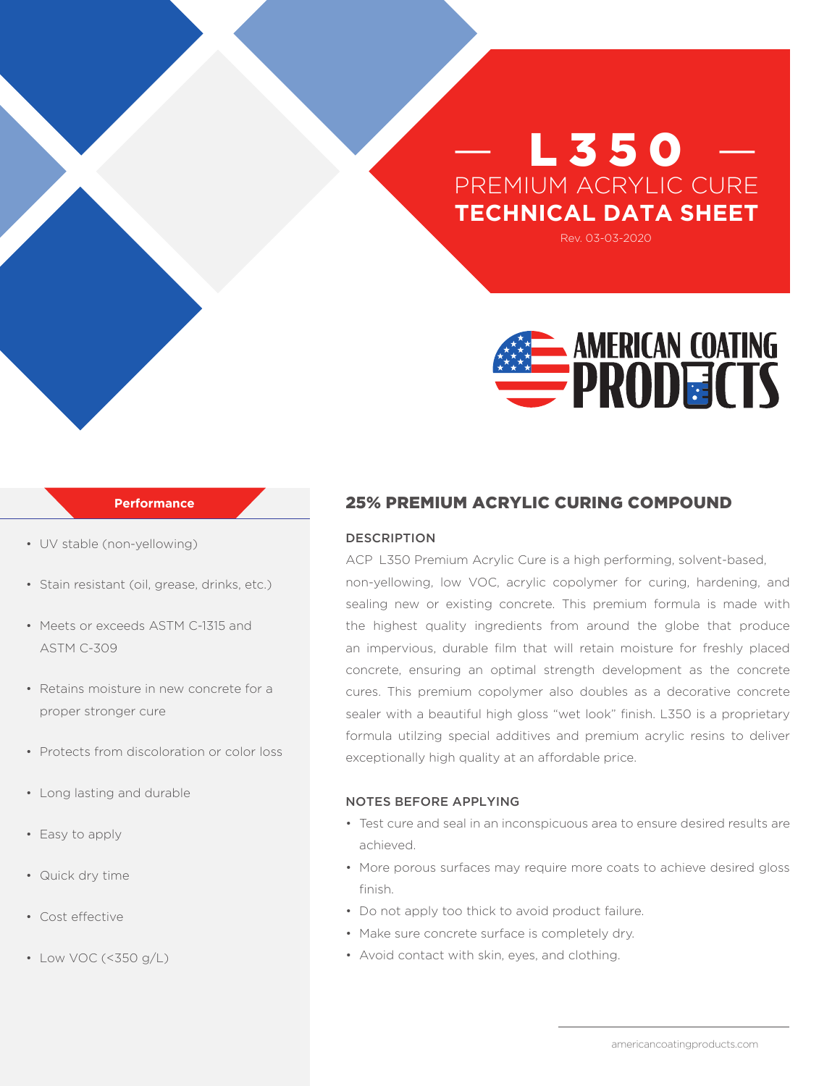# L 350 PREMIUM ACRYLIC CURE **TECHNICAL DATA SHEET**

Rev. 03-03-2020



#### **Performance**

- UV stable (non-yellowing)
- Stain resistant (oil, grease, drinks, etc.)
- Meets or exceeds ASTM C-1315 and ASTM C-309
- Retains moisture in new concrete for a proper stronger cure
- Protects from discoloration or color loss
- Long lasting and durable
- Easy to apply
- Quick dry time
- Cost effective
- Low VOC (<350 g/L)

## 25% PREMIUM ACRYLIC CURING COMPOUND

## DESCRIPTION

ACP L350 Premium Acrylic Cure is a high performing, solvent-based, non-yellowing, low VOC, acrylic copolymer for curing, hardening, and sealing new or existing concrete. This premium formula is made with the highest quality ingredients from around the globe that produce an impervious, durable film that will retain moisture for freshly placed concrete, ensuring an optimal strength development as the concrete cures. This premium copolymer also doubles as a decorative concrete sealer with a beautiful high gloss "wet look" finish. L350 is a proprietary formula utilzing special additives and premium acrylic resins to deliver exceptionally high quality at an affordable price.

#### NOTES BEFORE APPLYING

- Test cure and seal in an inconspicuous area to ensure desired results are achieved.
- More porous surfaces may require more coats to achieve desired gloss finish.
- Do not apply too thick to avoid product failure.
- Make sure concrete surface is completely dry.
- Avoid contact with skin, eyes, and clothing.